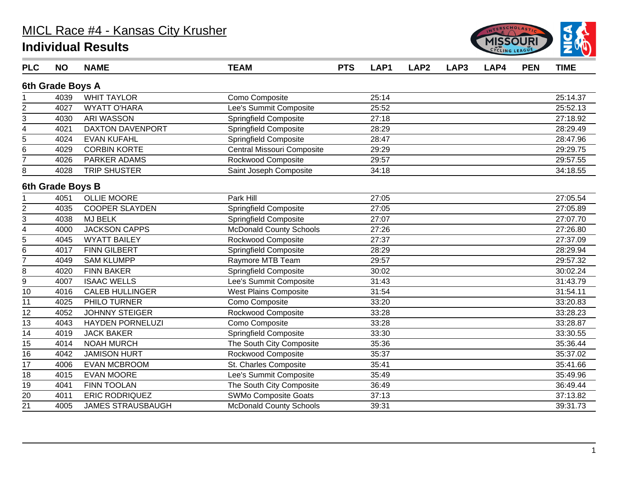

| <b>PLC</b>              | <b>NO</b>        | <b>NAME</b>              | <b>TEAM</b>                    | <b>PTS</b> | LAP1  | LAP <sub>2</sub> | LAP3 | LAP4 | <b>PEN</b> | <b>TIME</b> |
|-------------------------|------------------|--------------------------|--------------------------------|------------|-------|------------------|------|------|------------|-------------|
|                         | 6th Grade Boys A |                          |                                |            |       |                  |      |      |            |             |
|                         | 4039             | <b>WHIT TAYLOR</b>       | Como Composite                 |            | 25:14 |                  |      |      |            | 25:14.37    |
| $\overline{c}$          | 4027             | <b>WYATT O'HARA</b>      | Lee's Summit Composite         |            | 25:52 |                  |      |      |            | 25:52.13    |
| $\overline{3}$          | 4030             | <b>ARI WASSON</b>        | Springfield Composite          |            | 27:18 |                  |      |      |            | 27:18.92    |
| 4                       | 4021             | DAXTON DAVENPORT         | Springfield Composite          |            | 28:29 |                  |      |      |            | 28:29.49    |
| $\overline{5}$          | 4024             | <b>EVAN KUFAHL</b>       | <b>Springfield Composite</b>   |            | 28:47 |                  |      |      |            | 28:47.96    |
| 6                       | 4029             | <b>CORBIN KORTE</b>      | Central Missouri Composite     |            | 29:29 |                  |      |      |            | 29:29.75    |
| 7                       | 4026             | PARKER ADAMS             | Rockwood Composite             |            | 29:57 |                  |      |      |            | 29:57.55    |
| 8                       | 4028             | <b>TRIP SHUSTER</b>      | Saint Joseph Composite         |            | 34:18 |                  |      |      |            | 34:18.55    |
|                         | 6th Grade Boys B |                          |                                |            |       |                  |      |      |            |             |
|                         | 4051             | <b>OLLIE MOORE</b>       | Park Hill                      |            | 27:05 |                  |      |      |            | 27:05.54    |
| $\overline{c}$          | 4035             | <b>COOPER SLAYDEN</b>    | <b>Springfield Composite</b>   |            | 27:05 |                  |      |      |            | 27:05.89    |
| 3                       | 4038             | <b>MJ BELK</b>           | <b>Springfield Composite</b>   |            | 27:07 |                  |      |      |            | 27:07.70    |
| $\overline{\mathbf{4}}$ | 4000             | <b>JACKSON CAPPS</b>     | <b>McDonald County Schools</b> |            | 27:26 |                  |      |      |            | 27:26.80    |
| 5                       | 4045             | <b>WYATT BAILEY</b>      | Rockwood Composite             |            | 27:37 |                  |      |      |            | 27:37.09    |
| 6                       | 4017             | <b>FINN GILBERT</b>      | Springfield Composite          |            | 28:29 |                  |      |      |            | 28:29.94    |
| $\overline{7}$          | 4049             | <b>SAM KLUMPP</b>        | Raymore MTB Team               |            | 29:57 |                  |      |      |            | 29:57.32    |
| 8                       | 4020             | <b>FINN BAKER</b>        | <b>Springfield Composite</b>   |            | 30:02 |                  |      |      |            | 30:02.24    |
| $\boldsymbol{9}$        | 4007             | <b>ISAAC WELLS</b>       | Lee's Summit Composite         |            | 31:43 |                  |      |      |            | 31:43.79    |
| 10                      | 4016             | <b>CALEB HULLINGER</b>   | <b>West Plains Composite</b>   |            | 31:54 |                  |      |      |            | 31:54.11    |
| 11                      | 4025             | PHILO TURNER             | Como Composite                 |            | 33:20 |                  |      |      |            | 33:20.83    |
| 12                      | 4052             | <b>JOHNNY STEIGER</b>    | Rockwood Composite             |            | 33:28 |                  |      |      |            | 33:28.23    |
| 13                      | 4043             | <b>HAYDEN PORNELUZI</b>  | Como Composite                 |            | 33:28 |                  |      |      |            | 33:28.87    |
| 14                      | 4019             | <b>JACK BAKER</b>        | Springfield Composite          |            | 33:30 |                  |      |      |            | 33:30.55    |
| 15                      | 4014             | <b>NOAH MURCH</b>        | The South City Composite       |            | 35:36 |                  |      |      |            | 35:36.44    |
| $\overline{16}$         | 4042             | <b>JAMISON HURT</b>      | Rockwood Composite             |            | 35:37 |                  |      |      |            | 35:37.02    |
| 17                      | 4006             | EVAN MCBROOM             | St. Charles Composite          |            | 35:41 |                  |      |      |            | 35:41.66    |
| 18                      | 4015             | <b>EVAN MOORE</b>        | Lee's Summit Composite         |            | 35:49 |                  |      |      |            | 35:49.96    |
| 19                      | 4041             | <b>FINN TOOLAN</b>       | The South City Composite       |            | 36:49 |                  |      |      |            | 36:49.44    |
| 20                      | 4011             | <b>ERIC RODRIQUEZ</b>    | SWMo Composite Goats           |            | 37:13 |                  |      |      |            | 37:13.82    |
| 21                      | 4005             | <b>JAMES STRAUSBAUGH</b> | McDonald County Schools        |            | 39:31 |                  |      |      |            | 39:31.73    |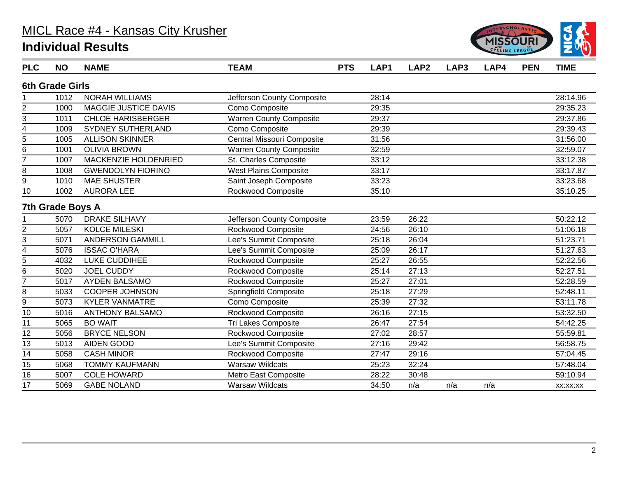

| <b>PLC</b>              | <b>NO</b>               | <b>NAME</b>                 | <b>TEAM</b>                    | <b>PTS</b> | LAP1  | LAP <sub>2</sub> | LAP3 | LAP4 | <b>PEN</b> | <b>TIME</b> |
|-------------------------|-------------------------|-----------------------------|--------------------------------|------------|-------|------------------|------|------|------------|-------------|
|                         | <b>6th Grade Girls</b>  |                             |                                |            |       |                  |      |      |            |             |
|                         | 1012                    | <b>NORAH WILLIAMS</b>       | Jefferson County Composite     |            | 28:14 |                  |      |      |            | 28:14.96    |
| $\overline{2}$          | 1000                    | <b>MAGGIE JUSTICE DAVIS</b> | Como Composite                 |            | 29:35 |                  |      |      |            | 29:35.23    |
| 3                       | 1011                    | <b>CHLOE HARISBERGER</b>    | <b>Warren County Composite</b> |            | 29:37 |                  |      |      |            | 29:37.86    |
| 4                       | 1009                    | <b>SYDNEY SUTHERLAND</b>    | Como Composite                 |            | 29:39 |                  |      |      |            | 29:39.43    |
| 5                       | 1005                    | <b>ALLISON SKINNER</b>      | Central Missouri Composite     |            | 31:56 |                  |      |      |            | 31:56.00    |
| 6                       | 1001                    | <b>OLIVIA BROWN</b>         | <b>Warren County Composite</b> |            | 32:59 |                  |      |      |            | 32:59.07    |
| $\overline{7}$          | 1007                    | MACKENZIE HOLDENRIED        | St. Charles Composite          |            | 33:12 |                  |      |      |            | 33:12.38    |
| 8                       | 1008                    | <b>GWENDOLYN FIORINO</b>    | <b>West Plains Composite</b>   |            | 33:17 |                  |      |      |            | 33:17.87    |
| 9                       | 1010                    | <b>MAE SHUSTER</b>          | Saint Joseph Composite         |            | 33:23 |                  |      |      |            | 33:23.68    |
| 10                      | 1002                    | <b>AURORA LEE</b>           | Rockwood Composite             |            | 35:10 |                  |      |      |            | 35:10.25    |
|                         | <b>7th Grade Boys A</b> |                             |                                |            |       |                  |      |      |            |             |
|                         | 5070                    | <b>DRAKE SILHAVY</b>        | Jefferson County Composite     |            | 23:59 | 26:22            |      |      |            | 50:22.12    |
| $\overline{c}$          | 5057                    | <b>KOLCE MILESKI</b>        | Rockwood Composite             |            | 24:56 | 26:10            |      |      |            | 51:06.18    |
| 3                       | 5071                    | <b>ANDERSON GAMMILL</b>     | Lee's Summit Composite         |            | 25:18 | 26:04            |      |      |            | 51:23.71    |
| $\overline{\mathbf{4}}$ | 5076                    | <b>ISSAC O'HARA</b>         | Lee's Summit Composite         |            | 25:09 | 26:17            |      |      |            | 51:27.63    |
| 5                       | 4032                    | LUKE CUDDIHEE               | Rockwood Composite             |            | 25:27 | 26:55            |      |      |            | 52:22.56    |
| 6                       | 5020                    | <b>JOEL CUDDY</b>           | Rockwood Composite             |            | 25:14 | 27:13            |      |      |            | 52:27.51    |
| 7                       | 5017                    | <b>AYDEN BALSAMO</b>        | Rockwood Composite             |            | 25:27 | 27:01            |      |      |            | 52:28.59    |
| 8                       | 5033                    | <b>COOPER JOHNSON</b>       | <b>Springfield Composite</b>   |            | 25:18 | 27:29            |      |      |            | 52:48.11    |
| 9                       | 5073                    | <b>KYLER VANMATRE</b>       | Como Composite                 |            | 25:39 | 27:32            |      |      |            | 53:11.78    |
| 10                      | 5016                    | <b>ANTHONY BALSAMO</b>      | Rockwood Composite             |            | 26:16 | 27:15            |      |      |            | 53:32.50    |
| 11                      | 5065                    | <b>BO WAIT</b>              | <b>Tri Lakes Composite</b>     |            | 26:47 | 27:54            |      |      |            | 54:42.25    |
| 12                      | 5056                    | <b>BRYCE NELSON</b>         | Rockwood Composite             |            | 27:02 | 28:57            |      |      |            | 55:59.81    |
| 13                      | 5013                    | <b>AIDEN GOOD</b>           | Lee's Summit Composite         |            | 27:16 | 29:42            |      |      |            | 56:58.75    |
| 14                      | 5058                    | <b>CASH MINOR</b>           | Rockwood Composite             |            | 27:47 | 29:16            |      |      |            | 57:04.45    |
| 15                      | 5068                    | <b>TOMMY KAUFMANN</b>       | <b>Warsaw Wildcats</b>         |            | 25:23 | 32:24            |      |      |            | 57:48.04    |
| 16                      | 5007                    | <b>COLE HOWARD</b>          | Metro East Composite           |            | 28:22 | 30:48            |      |      |            | 59:10.94    |
| 17                      | 5069                    | <b>GABE NOLAND</b>          | <b>Warsaw Wildcats</b>         |            | 34:50 | n/a              | n/a  | n/a  |            | XX:XX:XX    |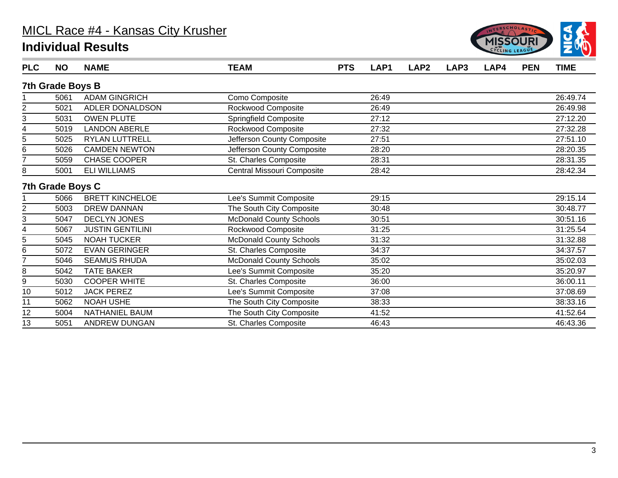

| <b>PLC</b> | <b>NO</b>        | <b>NAME</b>             | <b>TEAM</b>                    | <b>PTS</b> | LAP <sub>1</sub> | LAP <sub>2</sub> | LAP3 | LAP4 | <b>PEN</b> | <b>TIME</b> |
|------------|------------------|-------------------------|--------------------------------|------------|------------------|------------------|------|------|------------|-------------|
|            | 7th Grade Boys B |                         |                                |            |                  |                  |      |      |            |             |
|            | 5061             | <b>ADAM GINGRICH</b>    | Como Composite                 |            | 26:49            |                  |      |      |            | 26:49.74    |
| 2          | 5021             | ADLER DONALDSON         | Rockwood Composite             |            | 26:49            |                  |      |      |            | 26:49.98    |
| 3          | 5031             | <b>OWEN PLUTE</b>       | Springfield Composite          |            | 27:12            |                  |      |      |            | 27:12.20    |
| 4          | 5019             | <b>LANDON ABERLE</b>    | Rockwood Composite             |            | 27:32            |                  |      |      |            | 27:32.28    |
| 5          | 5025             | RYLAN LUTTRELL          | Jefferson County Composite     |            | 27:51            |                  |      |      |            | 27:51.10    |
| 6          | 5026             | <b>CAMDEN NEWTON</b>    | Jefferson County Composite     |            | 28:20            |                  |      |      |            | 28:20.35    |
| 7          | 5059             | <b>CHASE COOPER</b>     | St. Charles Composite          |            | 28:31            |                  |      |      |            | 28:31.35    |
| 8          | 5001             | <b>ELI WILLIAMS</b>     | Central Missouri Composite     |            | 28:42            |                  |      |      |            | 28:42.34    |
|            | 7th Grade Boys C |                         |                                |            |                  |                  |      |      |            |             |
|            | 5066             | <b>BRETT KINCHELOE</b>  | Lee's Summit Composite         |            | 29:15            |                  |      |      |            | 29:15.14    |
| 2          | 5003             | <b>DREW DANNAN</b>      | The South City Composite       |            | 30:48            |                  |      |      |            | 30:48.77    |
| 3          | 5047             | <b>DECLYN JONES</b>     | <b>McDonald County Schools</b> |            | 30:51            |                  |      |      |            | 30:51.16    |
| 4          | 5067             | <b>JUSTIN GENTILINI</b> | Rockwood Composite             |            | 31:25            |                  |      |      |            | 31:25.54    |
| 5          | 5045             | <b>NOAH TUCKER</b>      | <b>McDonald County Schools</b> |            | 31:32            |                  |      |      |            | 31:32.88    |
| 6          | 5072             | <b>EVAN GERINGER</b>    | St. Charles Composite          |            | 34:37            |                  |      |      |            | 34:37.57    |
| 7          | 5046             | <b>SEAMUS RHUDA</b>     | <b>McDonald County Schools</b> |            | 35:02            |                  |      |      |            | 35:02.03    |
| 8          | 5042             | <b>TATE BAKER</b>       | Lee's Summit Composite         |            | 35:20            |                  |      |      |            | 35:20.97    |
| 9          | 5030             | <b>COOPER WHITE</b>     | St. Charles Composite          |            | 36:00            |                  |      |      |            | 36:00.11    |
| 10         | 5012             | <b>JACK PEREZ</b>       | Lee's Summit Composite         |            | 37:08            |                  |      |      |            | 37:08.69    |
| 11         | 5062             | <b>NOAH USHE</b>        | The South City Composite       |            | 38:33            |                  |      |      |            | 38:33.16    |
| 12         | 5004             | NATHANIEL BAUM          | The South City Composite       |            | 41:52            |                  |      |      |            | 41:52.64    |
| 13         | 5051             | ANDREW DUNGAN           | St. Charles Composite          |            | 46:43            |                  |      |      |            | 46:43.36    |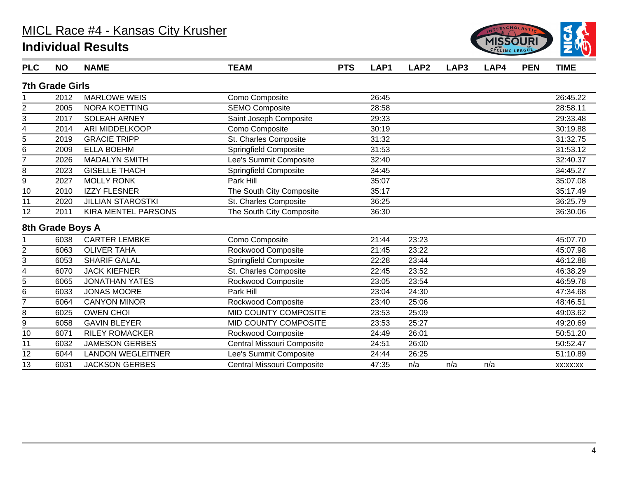

| <b>PLC</b>     | <b>NO</b>              | <b>NAME</b>              | <b>TEAM</b>                  | <b>PTS</b> | LAP1  | LAP <sub>2</sub> | LAP3 | LAP4 | <b>PEN</b> | <b>TIME</b> |
|----------------|------------------------|--------------------------|------------------------------|------------|-------|------------------|------|------|------------|-------------|
|                | <b>7th Grade Girls</b> |                          |                              |            |       |                  |      |      |            |             |
|                | 2012                   | <b>MARLOWE WEIS</b>      | Como Composite               |            | 26:45 |                  |      |      |            | 26:45.22    |
| $\overline{2}$ | 2005                   | <b>NORA KOETTING</b>     | <b>SEMO Composite</b>        |            | 28:58 |                  |      |      |            | 28:58.11    |
| 3              | 2017                   | <b>SOLEAH ARNEY</b>      | Saint Joseph Composite       |            | 29:33 |                  |      |      |            | 29:33.48    |
| 4              | 2014                   | ARI MIDDELKOOP           | Como Composite               |            | 30:19 |                  |      |      |            | 30:19.88    |
| $\overline{5}$ | 2019                   | <b>GRACIE TRIPP</b>      | St. Charles Composite        |            | 31:32 |                  |      |      |            | 31:32.75    |
| 6              | 2009                   | <b>ELLA BOEHM</b>        | <b>Springfield Composite</b> |            | 31:53 |                  |      |      |            | 31:53.12    |
| $\overline{7}$ | 2026                   | <b>MADALYN SMITH</b>     | Lee's Summit Composite       |            | 32:40 |                  |      |      |            | 32:40.37    |
| 8              | 2023                   | <b>GISELLE THACH</b>     | Springfield Composite        |            | 34:45 |                  |      |      |            | 34:45.27    |
| 9              | 2027                   | <b>MOLLY RONK</b>        | Park Hill                    |            | 35:07 |                  |      |      |            | 35:07.08    |
| 10             | 2010                   | <b>IZZY FLESNER</b>      | The South City Composite     |            | 35:17 |                  |      |      |            | 35:17.49    |
| 11             | 2020                   | <b>JILLIAN STAROSTKI</b> | St. Charles Composite        |            | 36:25 |                  |      |      |            | 36:25.79    |
| 12             | 2011                   | KIRA MENTEL PARSONS      | The South City Composite     |            | 36:30 |                  |      |      |            | 36:30.06    |
|                | 8th Grade Boys A       |                          |                              |            |       |                  |      |      |            |             |
|                | 6038                   | <b>CARTER LEMBKE</b>     | Como Composite               |            | 21:44 | 23:23            |      |      |            | 45:07.70    |
| $\overline{c}$ | 6063                   | <b>OLIVER TAHA</b>       | Rockwood Composite           |            | 21:45 | 23:22            |      |      |            | 45:07.98    |
| 3              | 6053                   | <b>SHARIF GALAL</b>      | Springfield Composite        |            | 22:28 | 23:44            |      |      |            | 46:12.88    |
| 4              | 6070                   | <b>JACK KIEFNER</b>      | St. Charles Composite        |            | 22:45 | 23:52            |      |      |            | 46:38.29    |
| 5              | 6065                   | <b>JONATHAN YATES</b>    | Rockwood Composite           |            | 23:05 | 23:54            |      |      |            | 46:59.78    |
| 6              | 6033                   | <b>JONAS MOORE</b>       | Park Hill                    |            | 23:04 | 24:30            |      |      |            | 47:34.68    |
| 7              | 6064                   | <b>CANYON MINOR</b>      | Rockwood Composite           |            | 23:40 | 25:06            |      |      |            | 48:46.51    |
| 8              | 6025                   | <b>OWEN CHOI</b>         | MID COUNTY COMPOSITE         |            | 23:53 | 25:09            |      |      |            | 49:03.62    |
| 9              | 6058                   | <b>GAVIN BLEYER</b>      | MID COUNTY COMPOSITE         |            | 23:53 | 25:27            |      |      |            | 49:20.69    |
| 10             | 6071                   | <b>RILEY ROMACKER</b>    | Rockwood Composite           |            | 24:49 | 26:01            |      |      |            | 50:51.20    |
| 11             | 6032                   | <b>JAMESON GERBES</b>    | Central Missouri Composite   |            | 24:51 | 26:00            |      |      |            | 50:52.47    |
| 12             | 6044                   | <b>LANDON WEGLEITNER</b> | Lee's Summit Composite       |            | 24:44 | 26:25            |      |      |            | 51:10.89    |
| 13             | 6031                   | <b>JACKSON GERBES</b>    | Central Missouri Composite   |            | 47:35 | n/a              | n/a  | n/a  |            | XX:XX:XX    |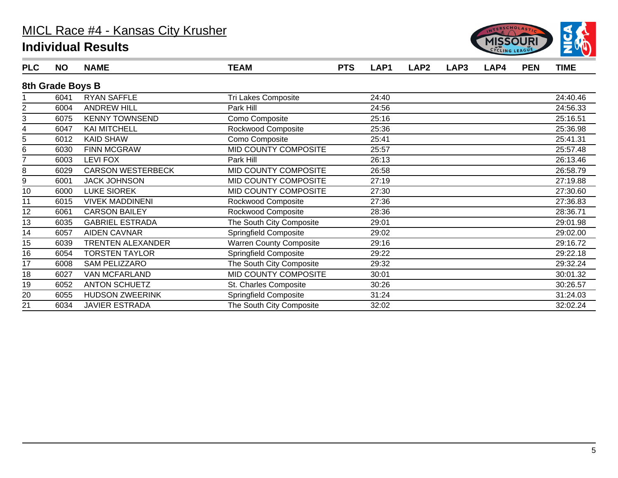

| <b>PLC</b> | <b>NO</b>        | <b>NAME</b>              | <b>TEAM</b>                    | <b>PTS</b> | LAP1  | LAP <sub>2</sub> | LAP3 | LAP4 | <b>PEN</b> | <b>TIME</b> |
|------------|------------------|--------------------------|--------------------------------|------------|-------|------------------|------|------|------------|-------------|
|            | 8th Grade Boys B |                          |                                |            |       |                  |      |      |            |             |
|            | 6041             | <b>RYAN SAFFLE</b>       | Tri Lakes Composite            |            | 24:40 |                  |      |      |            | 24:40.46    |
| 2          | 6004             | <b>ANDREW HILL</b>       | Park Hill                      |            | 24:56 |                  |      |      |            | 24:56.33    |
| 3          | 6075             | <b>KENNY TOWNSEND</b>    | Como Composite                 |            | 25:16 |                  |      |      |            | 25:16.51    |
| 4          | 6047             | <b>KAI MITCHELL</b>      | Rockwood Composite             |            | 25:36 |                  |      |      |            | 25:36.98    |
| 5          | 6012             | <b>KAID SHAW</b>         | Como Composite                 |            | 25:41 |                  |      |      |            | 25:41.31    |
| 6          | 6030             | <b>FINN MCGRAW</b>       | MID COUNTY COMPOSITE           |            | 25:57 |                  |      |      |            | 25:57.48    |
| 7          | 6003             | <b>LEVI FOX</b>          | Park Hill                      |            | 26:13 |                  |      |      |            | 26:13.46    |
| 8          | 6029             | <b>CARSON WESTERBECK</b> | MID COUNTY COMPOSITE           |            | 26:58 |                  |      |      |            | 26:58.79    |
| 9          | 6001             | <b>JACK JOHNSON</b>      | MID COUNTY COMPOSITE           |            | 27:19 |                  |      |      |            | 27:19.88    |
| 10         | 6000             | <b>LUKE SIOREK</b>       | MID COUNTY COMPOSITE           |            | 27:30 |                  |      |      |            | 27:30.60    |
| 11         | 6015             | <b>VIVEK MADDINENI</b>   | Rockwood Composite             |            | 27:36 |                  |      |      |            | 27:36.83    |
| 12         | 6061             | <b>CARSON BAILEY</b>     | Rockwood Composite             |            | 28:36 |                  |      |      |            | 28:36.71    |
| 13         | 6035             | <b>GABRIEL ESTRADA</b>   | The South City Composite       |            | 29:01 |                  |      |      |            | 29:01.98    |
| 14         | 6057             | <b>AIDEN CAVNAR</b>      | <b>Springfield Composite</b>   |            | 29:02 |                  |      |      |            | 29:02.00    |
| 15         | 6039             | <b>TRENTEN ALEXANDER</b> | <b>Warren County Composite</b> |            | 29:16 |                  |      |      |            | 29:16.72    |
| 16         | 6054             | <b>TORSTEN TAYLOR</b>    | <b>Springfield Composite</b>   |            | 29:22 |                  |      |      |            | 29:22.18    |
| 17         | 6008             | SAM PELIZZARO            | The South City Composite       |            | 29:32 |                  |      |      |            | 29:32.24    |
| 18         | 6027             | <b>VAN MCFARLAND</b>     | MID COUNTY COMPOSITE           |            | 30:01 |                  |      |      |            | 30:01.32    |
| 19         | 6052             | <b>ANTON SCHUETZ</b>     | St. Charles Composite          |            | 30:26 |                  |      |      |            | 30:26.57    |
| 20         | 6055             | <b>HUDSON ZWEERINK</b>   | Springfield Composite          |            | 31:24 |                  |      |      |            | 31:24.03    |
| 21         | 6034             | <b>JAVIER ESTRADA</b>    | The South City Composite       |            | 32:02 |                  |      |      |            | 32:02.24    |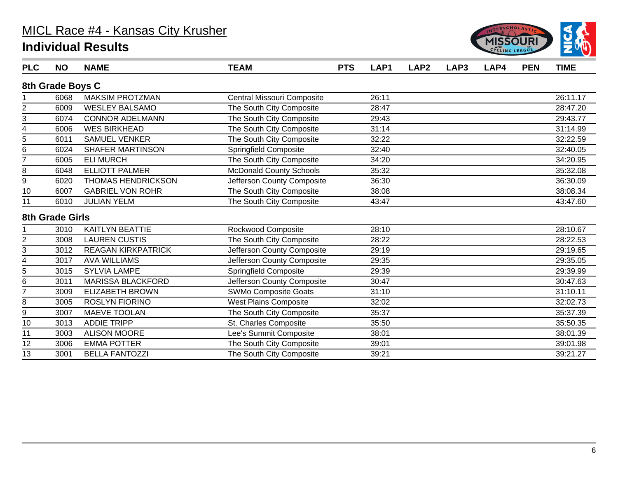

| <b>PLC</b>              | <b>NO</b>        | <b>NAME</b>               | <b>TEAM</b>                    | <b>PTS</b> | LAP1  | LAP <sub>2</sub> | LAP3 | LAP4 | <b>PEN</b> | <b>TIME</b> |
|-------------------------|------------------|---------------------------|--------------------------------|------------|-------|------------------|------|------|------------|-------------|
|                         | 8th Grade Boys C |                           |                                |            |       |                  |      |      |            |             |
|                         | 6068             | <b>MAKSIM PROTZMAN</b>    | Central Missouri Composite     |            | 26:11 |                  |      |      |            | 26:11.17    |
| $\overline{\mathbf{c}}$ | 6009             | <b>WESLEY BALSAMO</b>     | The South City Composite       |            | 28:47 |                  |      |      |            | 28:47.20    |
| 3                       | 6074             | <b>CONNOR ADELMANN</b>    | The South City Composite       |            | 29:43 |                  |      |      |            | 29:43.77    |
| 4                       | 6006             | <b>WES BIRKHEAD</b>       | The South City Composite       |            | 31:14 |                  |      |      |            | 31:14.99    |
| 5                       | 6011             | <b>SAMUEL VENKER</b>      | The South City Composite       |            | 32:22 |                  |      |      |            | 32:22.59    |
| 6                       | 6024             | <b>SHAFER MARTINSON</b>   | <b>Springfield Composite</b>   |            | 32:40 |                  |      |      |            | 32:40.05    |
| $\overline{7}$          | 6005             | <b>ELI MURCH</b>          | The South City Composite       |            | 34:20 |                  |      |      |            | 34:20.95    |
| 8                       | 6048             | <b>ELLIOTT PALMER</b>     | <b>McDonald County Schools</b> |            | 35:32 |                  |      |      |            | 35:32.08    |
| 9                       | 6020             | <b>THOMAS HENDRICKSON</b> | Jefferson County Composite     |            | 36:30 |                  |      |      |            | 36:30.09    |
| 10                      | 6007             | <b>GABRIEL VON ROHR</b>   | The South City Composite       |            | 38:08 |                  |      |      |            | 38:08.34    |
| 11                      | 6010             | <b>JULIAN YELM</b>        | The South City Composite       |            | 43:47 |                  |      |      |            | 43:47.60    |
|                         | 8th Grade Girls  |                           |                                |            |       |                  |      |      |            |             |
|                         | 3010             | KAITLYN BEATTIE           | Rockwood Composite             |            | 28:10 |                  |      |      |            | 28:10.67    |
| $\overline{2}$          | 3008             | <b>LAUREN CUSTIS</b>      | The South City Composite       |            | 28:22 |                  |      |      |            | 28:22.53    |
| 3                       | 3012             | <b>REAGAN KIRKPATRICK</b> | Jefferson County Composite     |            | 29:19 |                  |      |      |            | 29:19.65    |
| 4                       | 3017             | <b>AVA WILLIAMS</b>       | Jefferson County Composite     |            | 29:35 |                  |      |      |            | 29:35.05    |
| 5                       | 3015             | <b>SYLVIA LAMPE</b>       | <b>Springfield Composite</b>   |            | 29:39 |                  |      |      |            | 29:39.99    |
| 6                       | 3011             | <b>MARISSA BLACKFORD</b>  | Jefferson County Composite     |            | 30:47 |                  |      |      |            | 30:47.63    |
| $\overline{7}$          | 3009             | <b>ELIZABETH BROWN</b>    | SWMo Composite Goats           |            | 31:10 |                  |      |      |            | 31:10.11    |
| 8                       | 3005             | <b>ROSLYN FIORINO</b>     | <b>West Plains Composite</b>   |            | 32:02 |                  |      |      |            | 32:02.73    |
| 9                       | 3007             | <b>MAEVE TOOLAN</b>       | The South City Composite       |            | 35:37 |                  |      |      |            | 35:37.39    |
| 10                      | 3013             | <b>ADDIE TRIPP</b>        | St. Charles Composite          |            | 35:50 |                  |      |      |            | 35:50.35    |
| 11                      | 3003             | <b>ALISON MOORE</b>       | Lee's Summit Composite         |            | 38:01 |                  |      |      |            | 38:01.39    |
| 12                      | 3006             | <b>EMMA POTTER</b>        | The South City Composite       |            | 39:01 |                  |      |      |            | 39:01.98    |
| 13                      | 3001             | <b>BELLA FANTOZZI</b>     | The South City Composite       |            | 39:21 |                  |      |      |            | 39:21.27    |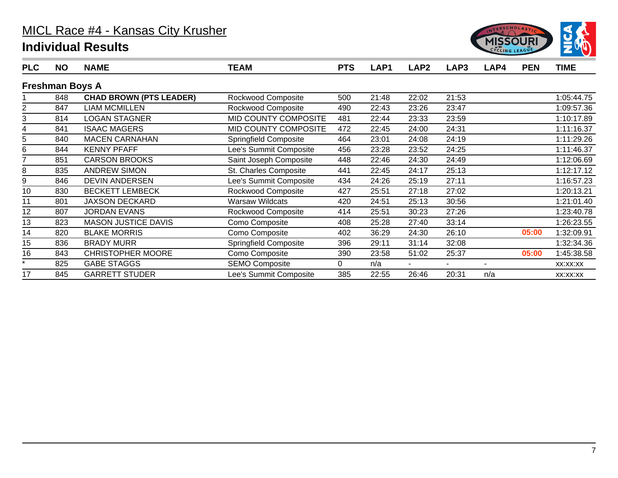

| <b>PLC</b> | <b>NO</b>              | <b>NAME</b>                    | <b>TEAM</b>            | <b>PTS</b> | LAP1  | LAP <sub>2</sub> | LAP3  | LAP4           | <b>PEN</b> | <b>TIME</b> |
|------------|------------------------|--------------------------------|------------------------|------------|-------|------------------|-------|----------------|------------|-------------|
|            | <b>Freshman Boys A</b> |                                |                        |            |       |                  |       |                |            |             |
|            | 848                    | <b>CHAD BROWN (PTS LEADER)</b> | Rockwood Composite     | 500        | 21:48 | 22:02            | 21:53 |                |            | 1:05:44.75  |
| 2          | 847                    | <b>LIAM MCMILLEN</b>           | Rockwood Composite     | 490        | 22:43 | 23:26            | 23:47 |                |            | 1:09:57.36  |
| 3          | 814                    | <b>LOGAN STAGNER</b>           | MID COUNTY COMPOSITE   | 481        | 22:44 | 23:33            | 23:59 |                |            | 1:10:17.89  |
| 4          | 841                    | <b>ISAAC MAGERS</b>            | MID COUNTY COMPOSITE   | 472        | 22:45 | 24:00            | 24:31 |                |            | 1:11:16.37  |
| 5          | 840                    | <b>MACEN CARNAHAN</b>          | Springfield Composite  | 464        | 23:01 | 24:08            | 24:19 |                |            | 1:11:29.26  |
| 6          | 844                    | <b>KENNY PFAFF</b>             | Lee's Summit Composite | 456        | 23:28 | 23:52            | 24:25 |                |            | 1:11:46.37  |
|            | 851                    | <b>CARSON BROOKS</b>           | Saint Joseph Composite | 448        | 22:46 | 24:30            | 24:49 |                |            | 1:12:06.69  |
| 8          | 835                    | <b>ANDREW SIMON</b>            | St. Charles Composite  | 441        | 22:45 | 24:17            | 25:13 |                |            | 1:12:17.12  |
| 9          | 846                    | <b>DEVIN ANDERSEN</b>          | Lee's Summit Composite | 434        | 24:26 | 25:19            | 27:11 |                |            | 1:16:57.23  |
| 10         | 830                    | <b>BECKETT LEMBECK</b>         | Rockwood Composite     | 427        | 25:51 | 27:18            | 27:02 |                |            | 1:20:13.21  |
| 11         | 801                    | <b>JAXSON DECKARD</b>          | <b>Warsaw Wildcats</b> | 420        | 24:51 | 25:13            | 30:56 |                |            | 1:21:01.40  |
| 12         | 807                    | <b>JORDAN EVANS</b>            | Rockwood Composite     | 414        | 25:51 | 30:23            | 27:26 |                |            | 1:23:40.78  |
| 13         | 823                    | <b>MASON JUSTICE DAVIS</b>     | Como Composite         | 408        | 25:28 | 27:40            | 33:14 |                |            | 1:26:23.55  |
| 14         | 820                    | <b>BLAKE MORRIS</b>            | Como Composite         | 402        | 36:29 | 24:30            | 26:10 |                | 05:00      | 1:32:09.91  |
| 15         | 836                    | <b>BRADY MURR</b>              | Springfield Composite  | 396        | 29:11 | 31:14            | 32:08 |                |            | 1:32:34.36  |
| 16         | 843                    | <b>CHRISTOPHER MOORE</b>       | Como Composite         | 390        | 23:58 | 51:02            | 25:37 |                | 05:00      | 1:45:38.58  |
| $\star$    | 825                    | <b>GABE STAGGS</b>             | <b>SEMO Composite</b>  | 0          | n/a   | ٠                | ٠     | $\blacksquare$ |            | XX:XX:XX    |
| 17         | 845                    | <b>GARRETT STUDER</b>          | Lee's Summit Composite | 385        | 22:55 | 26:46            | 20:31 | n/a            |            | XX:XX:XX    |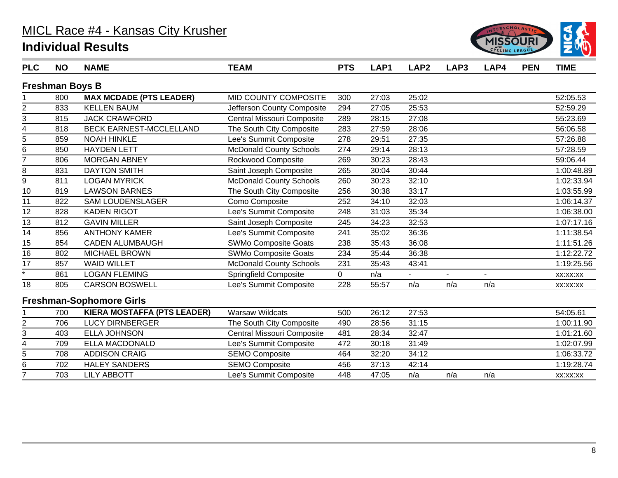

| <b>PLC</b>         | <b>NO</b>              | <b>NAME</b>                        | <b>TEAM</b>                    | <b>PTS</b>  | LAP1  | LAP <sub>2</sub> | LAP3 | LAP4 | <b>PEN</b> | <b>TIME</b> |
|--------------------|------------------------|------------------------------------|--------------------------------|-------------|-------|------------------|------|------|------------|-------------|
|                    | <b>Freshman Boys B</b> |                                    |                                |             |       |                  |      |      |            |             |
|                    | 800                    | <b>MAX MCDADE (PTS LEADER)</b>     | MID COUNTY COMPOSITE           | 300         | 27:03 | 25:02            |      |      |            | 52:05.53    |
|                    | 833                    | <b>KELLEN BAUM</b>                 | Jefferson County Composite     | 294         | 27:05 | 25:53            |      |      |            | 52:59.29    |
| $\frac{2}{3}$      | 815                    | <b>JACK CRAWFORD</b>               | Central Missouri Composite     | 289         | 28:15 | 27:08            |      |      |            | 55:23.69    |
| 4                  | 818                    | <b>BECK EARNEST-MCCLELLAND</b>     | The South City Composite       | 283         | 27:59 | 28:06            |      |      |            | 56:06.58    |
| $\overline{5}$     | 859                    | <b>NOAH HINKLE</b>                 | Lee's Summit Composite         | 278         | 29:51 | 27:35            |      |      |            | 57:26.88    |
| 6                  | 850                    | <b>HAYDEN LETT</b>                 | <b>McDonald County Schools</b> | 274         | 29:14 | 28:13            |      |      |            | 57:28.59    |
| $\overline{7}$     | 806                    | <b>MORGAN ABNEY</b>                | Rockwood Composite             | 269         | 30:23 | 28:43            |      |      |            | 59:06.44    |
| 8                  | 831                    | <b>DAYTON SMITH</b>                | Saint Joseph Composite         | 265         | 30:04 | 30:44            |      |      |            | 1:00:48.89  |
| 9                  | 811                    | <b>LOGAN MYRICK</b>                | <b>McDonald County Schools</b> | 260         | 30:23 | 32:10            |      |      |            | 1:02:33.94  |
| 10                 | 819                    | <b>LAWSON BARNES</b>               | The South City Composite       | 256         | 30:38 | 33:17            |      |      |            | 1:03:55.99  |
| 11                 | 822                    | <b>SAM LOUDENSLAGER</b>            | Como Composite                 | 252         | 34:10 | 32:03            |      |      |            | 1:06:14.37  |
| 12                 | 828                    | <b>KADEN RIGOT</b>                 | Lee's Summit Composite         | 248         | 31:03 | 35:34            |      |      |            | 1:06:38.00  |
| 13                 | 812                    | <b>GAVIN MILLER</b>                | Saint Joseph Composite         | 245         | 34:23 | 32:53            |      |      |            | 1:07:17.16  |
| $\overline{14}$    | 856                    | <b>ANTHONY KAMER</b>               | Lee's Summit Composite         | 241         | 35:02 | 36:36            |      |      |            | 1:11:38.54  |
| 15                 | 854                    | <b>CADEN ALUMBAUGH</b>             | <b>SWMo Composite Goats</b>    | 238         | 35:43 | 36:08            |      |      |            | 1:11:51.26  |
| $\overline{16}$    | 802                    | <b>MICHAEL BROWN</b>               | <b>SWMo Composite Goats</b>    | 234         | 35:44 | 36:38            |      |      |            | 1:12:22.72  |
| 17                 | 857                    | <b>WAID WILLET</b>                 | <b>McDonald County Schools</b> | 231         | 35:43 | 43:41            |      |      |            | 1:19:25.56  |
| $\overline{\cdot}$ | 861                    | <b>LOGAN FLEMING</b>               | <b>Springfield Composite</b>   | $\mathbf 0$ | n/a   |                  |      |      |            | XX:XX:XX    |
| 18                 | 805                    | <b>CARSON BOSWELL</b>              | Lee's Summit Composite         | 228         | 55:57 | n/a              | n/a  | n/a  |            | XX:XX:XX    |
|                    |                        | <b>Freshman-Sophomore Girls</b>    |                                |             |       |                  |      |      |            |             |
|                    | 700                    | <b>KIERA MOSTAFFA (PTS LEADER)</b> | <b>Warsaw Wildcats</b>         | 500         | 26:12 | 27:53            |      |      |            | 54:05.61    |
| 2                  | 706                    | <b>LUCY DIRNBERGER</b>             | The South City Composite       | 490         | 28:56 | 31:15            |      |      |            | 1:00:11.90  |
| 3                  | 403                    | <b>ELLA JOHNSON</b>                | Central Missouri Composite     | 481         | 28:34 | 32:47            |      |      |            | 1:01:21.60  |
| 4                  | 709                    | <b>ELLA MACDONALD</b>              | Lee's Summit Composite         | 472         | 30:18 | 31:49            |      |      |            | 1:02:07.99  |
| $\overline{5}$     | 708                    | <b>ADDISON CRAIG</b>               | <b>SEMO Composite</b>          | 464         | 32:20 | 34:12            |      |      |            | 1:06:33.72  |
| 6                  | 702                    | <b>HALEY SANDERS</b>               | <b>SEMO Composite</b>          | 456         | 37:13 | 42:14            |      |      |            | 1:19:28.74  |
| $\overline{7}$     | 703                    | <b>LILY ABBOTT</b>                 | Lee's Summit Composite         | 448         | 47:05 | n/a              | n/a  | n/a  |            | XX:XX:XX    |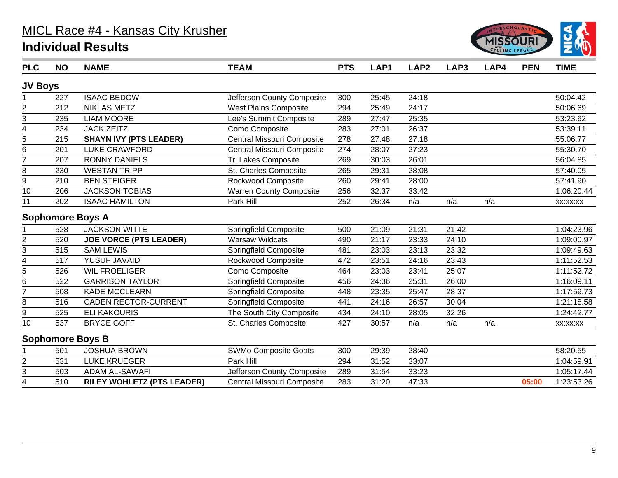

| <b>PLC</b>              | <b>NO</b> | <b>NAME</b>                       | <b>TEAM</b>                    | <b>PTS</b> | LAP <sub>1</sub> | LAP <sub>2</sub> | LAP3  | LAP4 | <b>PEN</b> | <b>TIME</b> |
|-------------------------|-----------|-----------------------------------|--------------------------------|------------|------------------|------------------|-------|------|------------|-------------|
| <b>JV Boys</b>          |           |                                   |                                |            |                  |                  |       |      |            |             |
|                         | 227       | <b>ISAAC BEDOW</b>                | Jefferson County Composite     | 300        | 25:45            | 24:18            |       |      |            | 50:04.42    |
| $\overline{c}$          | 212       | <b>NIKLAS METZ</b>                | <b>West Plains Composite</b>   | 294        | 25:49            | 24:17            |       |      |            | 50:06.69    |
| 3                       | 235       | <b>LIAM MOORE</b>                 | Lee's Summit Composite         | 289        | 27:47            | 25:35            |       |      |            | 53:23.62    |
| $\overline{\mathbf{4}}$ | 234       | <b>JACK ZEITZ</b>                 | Como Composite                 | 283        | 27:01            | 26:37            |       |      |            | 53:39.11    |
| 5                       | 215       | <b>SHAYN IVY (PTS LEADER)</b>     | Central Missouri Composite     | 278        | 27:48            | 27:18            |       |      |            | 55:06.77    |
| 6                       | 201       | <b>LUKE CRAWFORD</b>              | Central Missouri Composite     | 274        | 28:07            | 27:23            |       |      |            | 55:30.70    |
| 7                       | 207       | <b>RONNY DANIELS</b>              | Tri Lakes Composite            | 269        | 30:03            | 26:01            |       |      |            | 56:04.85    |
| 8                       | 230       | <b>WESTAN TRIPP</b>               | St. Charles Composite          | 265        | 29:31            | 28:08            |       |      |            | 57:40.05    |
| 9                       | 210       | <b>BEN STEIGER</b>                | Rockwood Composite             | 260        | 29:41            | 28:00            |       |      |            | 57:41.90    |
| $\overline{10}$         | 206       | <b>JACKSON TOBIAS</b>             | <b>Warren County Composite</b> | 256        | 32:37            | 33:42            |       |      |            | 1:06:20.44  |
| 11                      | 202       | <b>ISAAC HAMILTON</b>             | Park Hill                      | 252        | 26:34            | n/a              | n/a   | n/a  |            | XX:XX:XX    |
|                         |           | <b>Sophomore Boys A</b>           |                                |            |                  |                  |       |      |            |             |
|                         | 528       | <b>JACKSON WITTE</b>              | <b>Springfield Composite</b>   | 500        | 21:09            | 21:31            | 21:42 |      |            | 1:04:23.96  |
| $\overline{2}$          | 520       | <b>JOE VORCE (PTS LEADER)</b>     | <b>Warsaw Wildcats</b>         | 490        | 21:17            | 23:33            | 24:10 |      |            | 1:09:00.97  |
| 3                       | 515       | <b>SAM LEWIS</b>                  | Springfield Composite          | 481        | 23:03            | 23:13            | 23:32 |      |            | 1:09:49.63  |
| $\overline{\mathbf{4}}$ | 517       | YUSUF JAVAID                      | Rockwood Composite             | 472        | 23:51            | 24:16            | 23:43 |      |            | 1:11:52.53  |
| 5                       | 526       | <b>WIL FROELIGER</b>              | Como Composite                 | 464        | 23:03            | 23:41            | 25:07 |      |            | 1:11:52.72  |
| 6                       | 522       | <b>GARRISON TAYLOR</b>            | <b>Springfield Composite</b>   | 456        | 24:36            | 25:31            | 26:00 |      |            | 1:16:09.11  |
| $\overline{7}$          | 508       | KADE MCCLEARN                     | <b>Springfield Composite</b>   | 448        | 23:35            | 25:47            | 28:37 |      |            | 1:17:59.73  |
| 8                       | 516       | <b>CADEN RECTOR-CURRENT</b>       | <b>Springfield Composite</b>   | 441        | 24:16            | 26:57            | 30:04 |      |            | 1:21:18.58  |
| 9                       | 525       | <b>ELI KAKOURIS</b>               | The South City Composite       | 434        | 24:10            | 28:05            | 32:26 |      |            | 1:24:42.77  |
| 10                      | 537       | <b>BRYCE GOFF</b>                 | St. Charles Composite          | 427        | 30:57            | n/a              | n/a   | n/a  |            | XX:XX:XX    |
|                         |           | <b>Sophomore Boys B</b>           |                                |            |                  |                  |       |      |            |             |
|                         | 501       | <b>JOSHUA BROWN</b>               | <b>SWMo Composite Goats</b>    | 300        | 29:39            | 28:40            |       |      |            | 58:20.55    |
| $\overline{2}$          | 531       | <b>LUKE KRUEGER</b>               | Park Hill                      | 294        | 31:52            | 33:07            |       |      |            | 1:04:59.91  |
| $\overline{3}$          | 503       | <b>ADAM AL-SAWAFI</b>             | Jefferson County Composite     | 289        | 31:54            | 33:23            |       |      |            | 1:05:17.44  |
| 4                       | 510       | <b>RILEY WOHLETZ (PTS LEADER)</b> | Central Missouri Composite     | 283        | 31:20            | 47:33            |       |      | 05:00      | 1:23:53.26  |